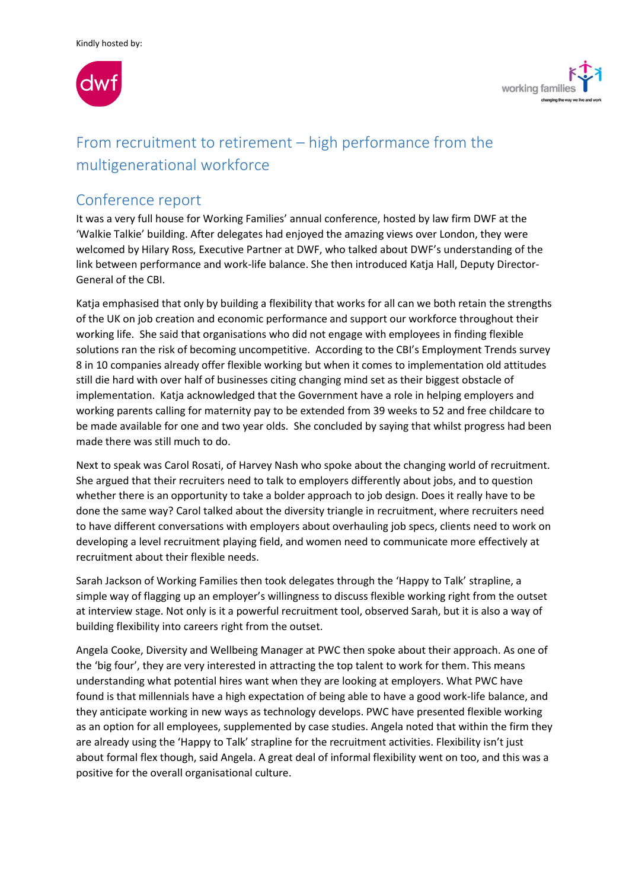



# From recruitment to retirement – high performance from the multigenerational workforce

# Conference report

It was a very full house for Working Families' annual conference, hosted by law firm DWF at the 'Walkie Talkie' building. After delegates had enjoyed the amazing views over London, they were welcomed by Hilary Ross, Executive Partner at DWF, who talked about DWF's understanding of the link between performance and work-life balance. She then introduced Katja Hall, Deputy Director-General of the CBI.

Katja emphasised that only by building a flexibility that works for all can we both retain the strengths of the UK on job creation and economic performance and support our workforce throughout their working life. She said that organisations who did not engage with employees in finding flexible solutions ran the risk of becoming uncompetitive. According to the CBI's Employment Trends survey 8 in 10 companies already offer flexible working but when it comes to implementation old attitudes still die hard with over half of businesses citing changing mind set as their biggest obstacle of implementation. Katja acknowledged that the Government have a role in helping employers and working parents calling for maternity pay to be extended from 39 weeks to 52 and free childcare to be made available for one and two year olds. She concluded by saying that whilst progress had been made there was still much to do.

Next to speak was Carol Rosati, of Harvey Nash who spoke about the changing world of recruitment. She argued that their recruiters need to talk to employers differently about jobs, and to question whether there is an opportunity to take a bolder approach to job design. Does it really have to be done the same way? Carol talked about the diversity triangle in recruitment, where recruiters need to have different conversations with employers about overhauling job specs, clients need to work on developing a level recruitment playing field, and women need to communicate more effectively at recruitment about their flexible needs.

Sarah Jackson of Working Families then took delegates through the 'Happy to Talk' strapline, a simple way of flagging up an employer's willingness to discuss flexible working right from the outset at interview stage. Not only is it a powerful recruitment tool, observed Sarah, but it is also a way of building flexibility into careers right from the outset.

Angela Cooke, Diversity and Wellbeing Manager at PWC then spoke about their approach. As one of the 'big four', they are very interested in attracting the top talent to work for them. This means understanding what potential hires want when they are looking at employers. What PWC have found is that millennials have a high expectation of being able to have a good work-life balance, and they anticipate working in new ways as technology develops. PWC have presented flexible working as an option for all employees, supplemented by case studies. Angela noted that within the firm they are already using the 'Happy to Talk' strapline for the recruitment activities. Flexibility isn't just about formal flex though, said Angela. A great deal of informal flexibility went on too, and this was a positive for the overall organisational culture.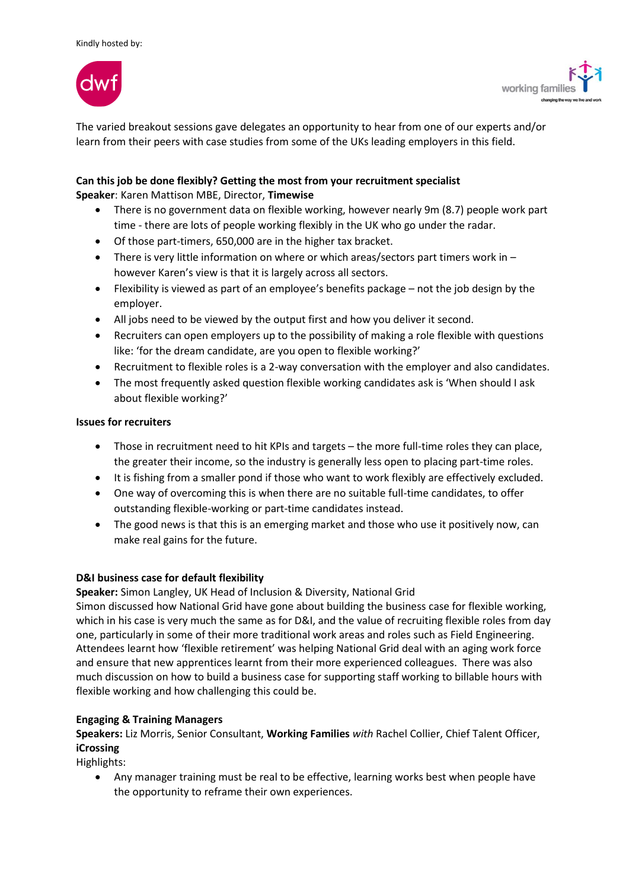



The varied breakout sessions gave delegates an opportunity to hear from one of our experts and/or learn from their peers with case studies from some of the UKs leading employers in this field.

# **Can this job be done flexibly? Getting the most from your recruitment specialist**

**Speaker**: Karen Mattison MBE, Director, **Timewise** 

- There is no government data on flexible working, however nearly 9m (8.7) people work part time - there are lots of people working flexibly in the UK who go under the radar.
- Of those part-timers, 650,000 are in the higher tax bracket.
- $\bullet$  There is very little information on where or which areas/sectors part timers work in  $$ however Karen's view is that it is largely across all sectors.
- Flexibility is viewed as part of an employee's benefits package not the job design by the employer.
- All jobs need to be viewed by the output first and how you deliver it second.
- Recruiters can open employers up to the possibility of making a role flexible with questions like: 'for the dream candidate, are you open to flexible working?'
- Recruitment to flexible roles is a 2-way conversation with the employer and also candidates.
- The most frequently asked question flexible working candidates ask is 'When should I ask about flexible working?'

# **Issues for recruiters**

- Those in recruitment need to hit KPIs and targets the more full-time roles they can place, the greater their income, so the industry is generally less open to placing part-time roles.
- It is fishing from a smaller pond if those who want to work flexibly are effectively excluded.
- One way of overcoming this is when there are no suitable full-time candidates, to offer outstanding flexible-working or part-time candidates instead.
- The good news is that this is an emerging market and those who use it positively now, can make real gains for the future.

# **D&I business case for default flexibility**

**Speaker:** Simon Langley, UK Head of Inclusion & Diversity, National Grid

Simon discussed how National Grid have gone about building the business case for flexible working, which in his case is very much the same as for D&I, and the value of recruiting flexible roles from day one, particularly in some of their more traditional work areas and roles such as Field Engineering. Attendees learnt how 'flexible retirement' was helping National Grid deal with an aging work force and ensure that new apprentices learnt from their more experienced colleagues. There was also much discussion on how to build a business case for supporting staff working to billable hours with flexible working and how challenging this could be.

# **Engaging & Training Managers**

**Speakers:** Liz Morris, Senior Consultant, **Working Families** *with* Rachel Collier, Chief Talent Officer, **iCrossing** 

Highlights:

 Any manager training must be real to be effective, learning works best when people have the opportunity to reframe their own experiences.